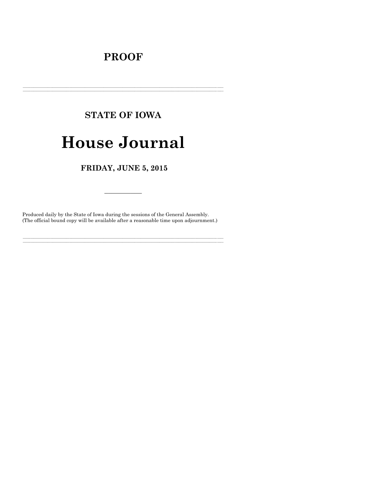# **PROOF**

# **STATE OF IOWA House Journal**

FRIDAY, JUNE 5, 2015

Produced daily by the State of Iowa during the sessions of the General Assembly. (The official bound copy will be available after a reasonable time upon adjournment.)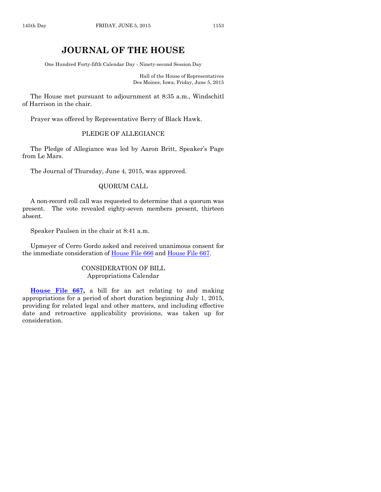# **JOURNAL OF THE HOUSE**

One Hundred Forty-fifth Calendar Day - Ninety-second Session Day

Hall of the House of Representatives Des Moines, Iowa, Friday, June 5, 2015

The House met pursuant to adjournment at 8:35 a.m., Windschitl of Harrison in the chair.

Prayer was offered by Representative Berry of Black Hawk.

#### PLEDGE OF ALLEGIANCE

The Pledge of Allegiance was led by Aaron Britt, Speaker's Page from Le Mars.

The Journal of Thursday, June 4, 2015, was approved.

#### QUORUM CALL

A non-record roll call was requested to determine that a quorum was present. The vote revealed eighty-seven members present, thirteen absent.

Speaker Paulsen in the chair at 8:41 a.m.

Upmeyer of Cerro Gordo asked and received unanimous consent for the immediate consideration of [House File 666](http://coolice.legis.iowa.gov/Cool-ICE/default.asp?Category=billinfo&Service=Billbook&frame=1&GA=86&hbill=HF666) and [House File 667.](http://coolice.legis.iowa.gov/Cool-ICE/default.asp?Category=billinfo&Service=Billbook&frame=1&GA=86&hbill=HF667)

#### CONSIDERATION OF BILL Appropriations Calendar

**[House File 667,](http://coolice.legis.iowa.gov/Cool-ICE/default.asp?Category=billinfo&Service=Billbook&frame=1&GA=86&hbill=HF667)** a bill for an act relating to and making appropriations for a period of short duration beginning July 1, 2015, providing for related legal and other matters, and including effective date and retroactive applicability provisions, was taken up for consideration.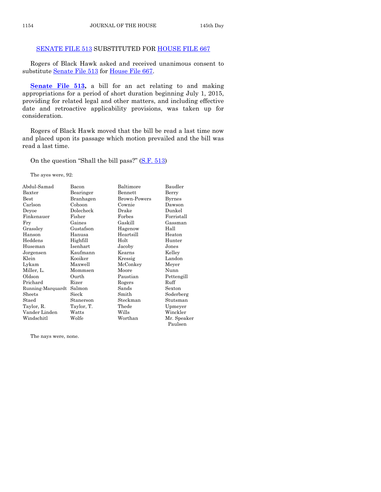#### [SENATE FILE 513](http://coolice.legis.iowa.gov/Cool-ICE/default.asp?Category=billinfo&Service=Billbook&frame=1&GA=86&hbill=SF513) SUBSTITUTED FOR [HOUSE FILE 667](http://coolice.legis.iowa.gov/Cool-ICE/default.asp?Category=billinfo&Service=Billbook&frame=1&GA=86&hbill=HF667)

Rogers of Black Hawk asked and received unanimous consent to substitute [Senate File 513](http://coolice.legis.iowa.gov/Cool-ICE/default.asp?Category=billinfo&Service=Billbook&frame=1&GA=86&hbill=SF513) for [House File 667.](http://coolice.legis.iowa.gov/Cool-ICE/default.asp?Category=billinfo&Service=Billbook&frame=1&GA=86&hbill=HF667)

**[Senate File 513,](http://coolice.legis.iowa.gov/Cool-ICE/default.asp?Category=billinfo&Service=Billbook&frame=1&GA=86&hbill=SF513) a** bill for an act relating to and making appropriations for a period of short duration beginning July 1, 2015, providing for related legal and other matters, and including effective date and retroactive applicability provisions, was taken up for consideration.

Rogers of Black Hawk moved that the bill be read a last time now and placed upon its passage which motion prevailed and the bill was read a last time.

On the question "Shall the bill pass?" [\(S.F. 513\)](http://coolice.legis.iowa.gov/Cool-ICE/default.asp?Category=billinfo&Service=Billbook&frame=1&GA=86&hbill=SF513)

The ayes were, 92:

| Abdul-Samad       | Bacon      | Baltimore           | Baudler     |
|-------------------|------------|---------------------|-------------|
| Baxter            | Bearinger  | Bennett             | Berry       |
| $_{\rm Best}$     | Branhagen  | <b>Brown-Powers</b> | Byrnes      |
| Carlson           | Cohoon     | Cownie              | Dawson      |
| Deyoe             | Dolecheck  | Drake               | Dunkel      |
| Finkenauer        | Fisher     | Forbes              | Forristall  |
| Fry               | Gaines     | Gaskill             | Gassman     |
| Grassley          | Gustafson  | Hagenow             | Hall        |
| Hanson            | Hanusa     | Heartsill           | Heaton      |
| Heddens           | Highfill   | Holt                | Hunter      |
| Huseman           | Isenhart   | Jacoby              | Jones       |
| Jorgensen         | Kaufmann   | Kearns              | Kelley      |
| Klein             | Kooiker    | Kressig             | Landon      |
| Lykam             | Maxwell    | McConkey            | Meyer       |
| Miller, L.        | Mommsen    | Moore               | Nunn        |
| Oldson            | Ourth      | Paustian            | Pettengill  |
| Prichard          | Rizer      | Rogers              | Ruff        |
| Running-Marquardt | Salmon     | Sands               | Sexton      |
| Sheets            | Sieck      | Smith               | Soderberg   |
| Staed             | Stanerson  | Steckman            | Stutsman    |
| Taylor, R.        | Taylor, T. | Thede               | Upmeyer     |
| Vander Linden     | Watts      | Wills               | Winckler    |
| Windschitl        | Wolfe      | Worthan             | Mr. Speaker |
|                   |            |                     | Paulsen     |

The nays were, none.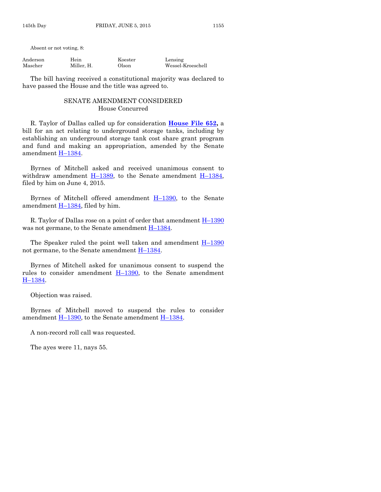Absent or not voting, 8:

| Anderson | Hein       | Koester | Lensing           |
|----------|------------|---------|-------------------|
| Mascher  | Miller, H. | Olson   | Wessel-Kroeschell |

The bill having received a constitutional majority was declared to have passed the House and the title was agreed to.

#### SENATE AMENDMENT CONSIDERED House Concurred

R. Taylor of Dallas called up for consideration **[House File 652,](http://coolice.legis.iowa.gov/Cool-ICE/default.asp?Category=billinfo&Service=Billbook&frame=1&GA=86&hbill=HF652)** a bill for an act relating to underground storage tanks, including by establishing an underground storage tank cost share grant program and fund and making an appropriation, amended by the Senate amendment H-[1384.](http://coolice.legis.iowa.gov/Cool-ICE/default.asp?Category=billinfo&Service=Billbook&frame=1&GA=86&hbill=H1384)

Byrnes of Mitchell asked and received unanimous consent to withdraw amendment  $\underline{H-1389}$ , to the Senate amendment  $\underline{H-1384}$ , filed by him on June 4, 2015.

Byrnes of Mitchell offered amendment  $H-1390$ , to the Senate amendment  $H-1384$ , filed by him.

R. Taylor of Dallas rose on a point of order that amendment  $H_{1290}$ was not germane, to the Senate amendment  $H-1384$ .

The Speaker ruled the point well taken and amendment  $H-1390$  $H-1390$ not germane, to the Senate amendment H–[1384.](http://coolice.legis.iowa.gov/Cool-ICE/default.asp?Category=billinfo&Service=Billbook&frame=1&GA=86&hbill=H1384)

Byrnes of Mitchell asked for unanimous consent to suspend the rules to consider amendment  $H-1390$ , to the Senate amendment H–[1384.](http://coolice.legis.iowa.gov/Cool-ICE/default.asp?Category=billinfo&Service=Billbook&frame=1&GA=86&hbill=H1384)

Objection was raised.

Byrnes of Mitchell moved to suspend the rules to consider amendment  $H-1390$ , to the Senate amendment  $H-1384$ .

A non-record roll call was requested.

The ayes were 11, nays 55.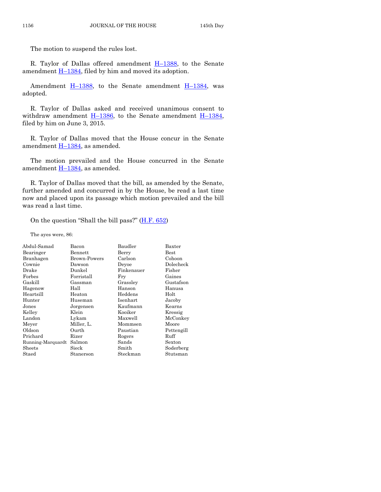The motion to suspend the rules lost.

R. Taylor of Dallas offered amendment H–[1388,](http://coolice.legis.iowa.gov/Cool-ICE/default.asp?Category=billinfo&Service=Billbook&frame=1&GA=86&hbill=H1388) to the Senate amendment  $\underline{H-1384}$ , filed by him and moved its adoption.

Amendment  $H-1388$ , to the Senate amendment  $H-1384$ , was adopted.

R. Taylor of Dallas asked and received unanimous consent to withdraw amendment  $H-1386$ , to the Senate amendment  $H-1384$ , filed by him on June 3, 2015.

R. Taylor of Dallas moved that the House concur in the Senate amendment  $H-1384$ , as amended.

The motion prevailed and the House concurred in the Senate amendment H–[1384,](http://coolice.legis.iowa.gov/Cool-ICE/default.asp?Category=billinfo&Service=Billbook&frame=1&GA=86&hbill=H1384) as amended.

R. Taylor of Dallas moved that the bill, as amended by the Senate, further amended and concurred in by the House, be read a last time now and placed upon its passage which motion prevailed and the bill was read a last time.

On the question "Shall the bill pass?"  $(H.F. 652)$ 

The ayes were, 86:

| Abdul-Samad            | Bacon        | Baudler    | Baxter        |
|------------------------|--------------|------------|---------------|
| Bearinger              | Bennett      | Berry      | $_{\rm Best}$ |
| Branhagen              | Brown-Powers | Carlson    | Cohoon        |
| Cownie                 | Dawson       | Devoe      | Dolecheck     |
| Drake                  | Dunkel       | Finkenauer | Fisher        |
| Forbes                 | Forristall   | Fry        | Gaines        |
| Gaskill                | Gassman      | Grassley   | Gustafson     |
| Hagenow                | Hall         | Hanson     | Hanusa        |
| Heartsill              | Heaton       | Heddens    | Holt          |
| Hunter                 | Huseman      | Isenhart   | Jacoby        |
| Jones                  | Jorgensen    | Kaufmann   | Kearns        |
| Kelley                 | Klein        | Kooiker    | Kressig       |
| Landon                 | Lykam        | Maxwell    | McConkey      |
| Meyer                  | Miller, L.   | Mommsen    | Moore         |
| Oldson                 | Ourth        | Paustian   | Pettengill    |
| Prichard               | Rizer        | Rogers     | Ruff          |
| Running-Marquardt      | Salmon       | Sands      | Sexton        |
| Sheets                 | Sieck        | Smith      | Soderberg     |
| $\operatorname{Staed}$ | Stanerson    | Steckman   | Stutsman      |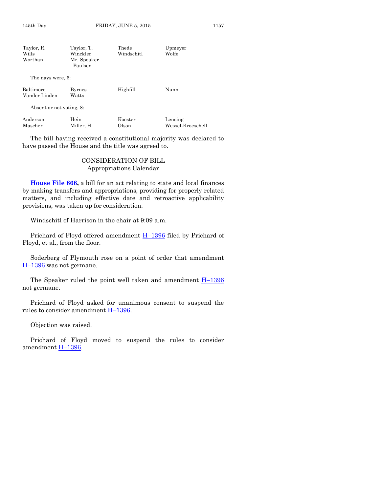| Taylor, R.                 | Taylor, T.             | Thede      | Upmeyer           |
|----------------------------|------------------------|------------|-------------------|
| Wills                      | Winckler               | Windschitl | Wolfe             |
| Worthan                    | Mr. Speaker<br>Paulsen |            |                   |
| The nays were, 6:          |                        |            |                   |
| Baltimore<br>Vander Linden | <b>Byrnes</b><br>Watts | Highfill   | Nunn              |
| Absent or not voting, 8:   |                        |            |                   |
| Anderson                   | Hein                   | Koester    | Lensing           |
| Mascher                    | Miller, H.             | Olson      | Wessel-Kroeschell |

The bill having received a constitutional majority was declared to have passed the House and the title was agreed to.

#### CONSIDERATION OF BILL Appropriations Calendar

**House File 666**, a bill for an act relating to state and local finances by making transfers and appropriations, providing for properly related matters, and including effective date and retroactive applicability provisions, was taken up for consideration.

Windschitl of Harrison in the chair at 9:09 a.m.

Prichard of Floyd offered amendment  $H-1396$  $H-1396$  filed by Prichard of Floyd, et al., from the floor.

Soderberg of Plymouth rose on a point of order that amendment H-[1396](http://coolice.legis.iowa.gov/Cool-ICE/default.asp?Category=billinfo&Service=Billbook&frame=1&GA=86&hbill=H1396) was not germane.

The Speaker ruled the point well taken and amendment  $H-1396$  $H-1396$ not germane.

Prichard of Floyd asked for unanimous consent to suspend the rules to consider amendment H–[1396.](http://coolice.legis.iowa.gov/Cool-ICE/default.asp?Category=billinfo&Service=Billbook&frame=1&GA=86&hbill=H1396)

Objection was raised.

Prichard of Floyd moved to suspend the rules to consider amendment H–[1396.](http://coolice.legis.iowa.gov/Cool-ICE/default.asp?Category=billinfo&Service=Billbook&frame=1&GA=86&hbill=H1396)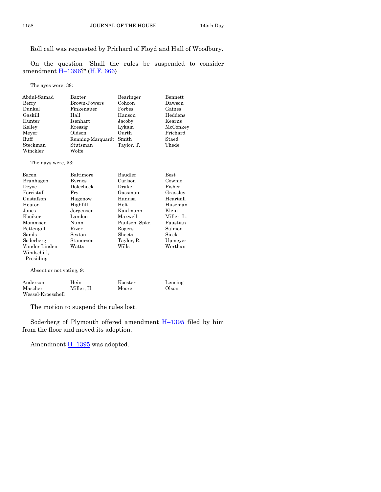#### Roll call was requested by Prichard of Floyd and Hall of Woodbury.

On the question "Shall the rules be suspended to consider amendment H–[1396?](http://coolice.legis.iowa.gov/Cool-ICE/default.asp?Category=billinfo&Service=Billbook&frame=1&GA=86&hbill=H1396)" [\(H.F. 666\)](http://coolice.legis.iowa.gov/Cool-ICE/default.asp?Category=billinfo&Service=Billbook&frame=1&GA=86&hbill=HF666)

The ayes were, 38:

| Abdul-Samad | Baxter                  | Bearinger  | Bennett  |
|-------------|-------------------------|------------|----------|
| Berry       | <b>Brown-Powers</b>     | Cohoon     | Dawson   |
| Dunkel      | Finkenauer              | Forbes     | Gaines   |
| Gaskill     | Hall                    | Hanson     | Heddens  |
| Hunter      | Isenhart                | Jacoby     | Kearns   |
| Kelley      | Kressig                 | Lykam      | McConkey |
| Meyer       | Oldson                  | Ourth      | Prichard |
| Ruff        | Running-Marquardt Smith |            | Staed    |
| Steckman    | Stutsman                | Taylor, T. | Thede    |
| Winckler    | Wolfe                   |            |          |

The nays were, 53:

| Bacon                    | Baltimore     | Baudler        | <b>Best</b> |  |
|--------------------------|---------------|----------------|-------------|--|
| Branhagen                | <b>Byrnes</b> | Carlson        | Cownie      |  |
| Devoe                    | Dolecheck     | Drake          | Fisher      |  |
| Forristall               | Frv           | Gassman        | Grassley    |  |
| Gustafson                | Hagenow       | Hanusa         | Heartsill   |  |
| Heaton                   | Highfill      | Holt           | Huseman     |  |
| Jones                    | Jorgensen     | Kaufmann       | Klein       |  |
| Kooiker                  | Landon        | Maxwell        | Miller, L.  |  |
| Mommsen                  | Nunn          | Paulsen, Spkr. | Paustian    |  |
| Pettengill               | Rizer         | Rogers         | Salmon      |  |
| Sands                    | Sexton        | Sheets         | Sieck       |  |
| Soderberg                | Stanerson     | Taylor, R.     | Upmeyer     |  |
| Vander Linden            | Watts         | Wills          | Worthan     |  |
| Windschitl.              |               |                |             |  |
| Presiding                |               |                |             |  |
| Absent or not voting, 9: |               |                |             |  |

| Anderson          | Hein       | Koester | Lensing |
|-------------------|------------|---------|---------|
| Mascher           | Miller. H. | Moore   | Olson   |
| Wessel-Kroeschell |            |         |         |

The motion to suspend the rules lost.

Soderberg of Plymouth offered amendment  $H-1395$  $H-1395$  filed by him from the floor and moved its adoption.

Amendment **H**-[1395](http://coolice.legis.iowa.gov/Cool-ICE/default.asp?Category=billinfo&Service=Billbook&frame=1&GA=86&hbill=H1395) was adopted.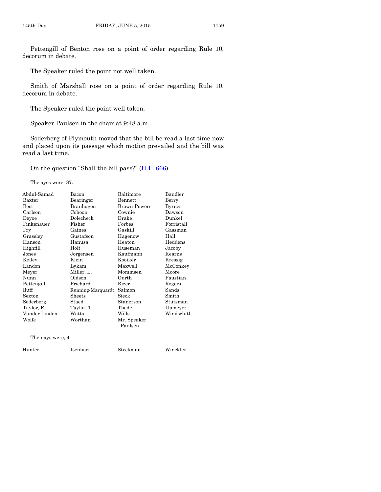Pettengill of Benton rose on a point of order regarding Rule 10, decorum in debate.

The Speaker ruled the point not well taken.

Smith of Marshall rose on a point of order regarding Rule 10, decorum in debate.

The Speaker ruled the point well taken.

Speaker Paulsen in the chair at 9:48 a.m.

Soderberg of Plymouth moved that the bill be read a last time now and placed upon its passage which motion prevailed and the bill was read a last time.

On the question "Shall the bill pass?" ([H.F. 666\)](http://coolice.legis.iowa.gov/Cool-ICE/default.asp?Category=billinfo&Service=Billbook&frame=1&GA=86&hbill=HF666)

The ayes were, 87:

| Abdul-Samad       | Bacon             | Baltimore           | Baudler    |
|-------------------|-------------------|---------------------|------------|
| Baxter            | Bearinger         | Bennett             | Berry      |
| <b>Best</b>       | Branhagen         | <b>Brown-Powers</b> | Byrnes     |
| Carlson           | Cohoon            | Cownie              | Dawson     |
| Deyoe             | Dolecheck         | Drake               | Dunkel     |
| Finkenauer        | Fisher            | Forbes              | Forristall |
| Fry               | Gaines            | Gaskill             | Gassman    |
| Grassley          | Gustafson         | Hagenow             | Hall       |
| Hanson            | Hanusa            | Heaton              | Heddens    |
| Highfill          | Holt              | Huseman             | Jacoby     |
| Jones             | Jorgensen         | Kaufmann            | Kearns     |
| Kelley            | Klein             | Kooiker             | Kressig    |
| Landon            | Lykam             | Maxwell             | McConkey   |
| Meyer             | Miller, L.        | Mommsen             | Moore      |
| Nunn              | Oldson            | Ourth               | Paustian   |
| Pettengill        | Prichard          | Rizer               | Rogers     |
| Ruff              | Running-Marquardt | Salmon              | Sands      |
| Sexton            | Sheets            | Sieck               | Smith      |
| Soderberg         | Staed             | Stanerson           | Stutsman   |
| Taylor, R.        | Taylor, T.        | Thede               | Upmeyer    |
| Vander Linden     | Watts             | Wills               | Windschitl |
| Wolfe             | Worthan           | Mr. Speaker         |            |
|                   |                   | Paulsen             |            |
| The nays were, 4: |                   |                     |            |

Hunter Isenhart Steckman Winckler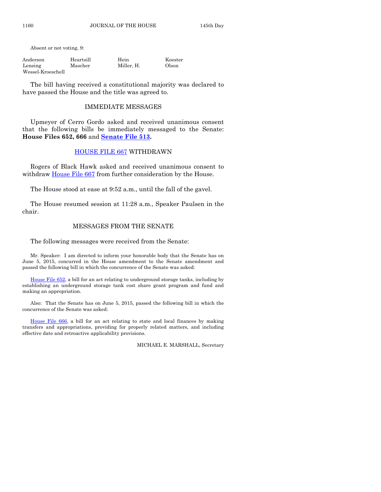Absent or not voting, 9:

| Anderson          | Heartsill | Hein       | Koester |
|-------------------|-----------|------------|---------|
| Lensing           | Mascher   | Miller. H. | Olson   |
| Wessel-Kroeschell |           |            |         |

The bill having received a constitutional majority was declared to have passed the House and the title was agreed to.

#### IMMEDIATE MESSAGES

Upmeyer of Cerro Gordo asked and received unanimous consent that the following bills be immediately messaged to the Senate: **House Files 652, 666** and **[Senate File 513.](http://coolice.legis.iowa.gov/Cool-ICE/default.asp?Category=billinfo&Service=Billbook&frame=1&GA=86&hbill=SF513)**

#### [HOUSE FILE 667](http://coolice.legis.iowa.gov/Cool-ICE/default.asp?Category=billinfo&Service=Billbook&frame=1&GA=86&hbill=HF667) WITHDRAWN

Rogers of Black Hawk asked and received unanimous consent to withdraw [House File 667](http://coolice.legis.iowa.gov/Cool-ICE/default.asp?Category=billinfo&Service=Billbook&frame=1&GA=86&hbill=HF667) from further consideration by the House.

The House stood at ease at 9:52 a.m., until the fall of the gavel.

The House resumed session at 11:28 a.m., Speaker Paulsen in the chair.

#### MESSAGES FROM THE SENATE

The following messages were received from the Senate:

Mr. Speaker: I am directed to inform your honorable body that the Senate has on June 5, 2015, concurred in the House amendment to the Senate amendment and passed the following bill in which the concurrence of the Senate was asked:

[House File 652,](http://coolice.legis.iowa.gov/Cool-ICE/default.asp?Category=billinfo&Service=Billbook&frame=1&GA=86&hbill=HF652) a bill for an act relating to underground storage tanks, including by establishing an underground storage tank cost share grant program and fund and making an appropriation.

Also: That the Senate has on June 5, 2015, passed the following bill in which the concurrence of the Senate was asked:

[House File 666,](http://coolice.legis.iowa.gov/Cool-ICE/default.asp?Category=billinfo&Service=Billbook&frame=1&GA=86&hbill=HF666) a bill for an act relating to state and local finances by making transfers and appropriations, providing for properly related matters, and including effective date and retroactive applicability provisions.

MICHAEL E. MARSHALL, Secretary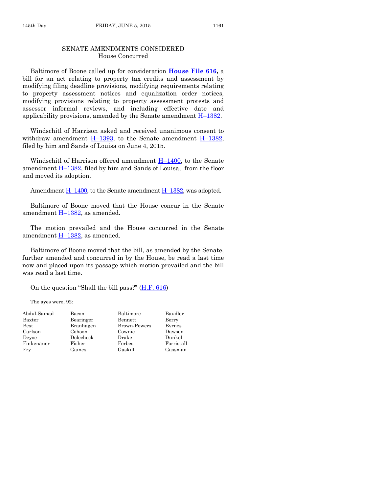#### SENATE AMENDMENTS CONSIDERED House Concurred

Baltimore of Boone called up for consideration **[House File 616,](http://coolice.legis.iowa.gov/Cool-ICE/default.asp?Category=billinfo&Service=Billbook&frame=1&GA=86&hbill=HF616)** a bill for an act relating to property tax credits and assessment by modifying filing deadline provisions, modifying requirements relating to property assessment notices and equalization order notices, modifying provisions relating to property assessment protests and assessor informal reviews, and including effective date and applicability provisions, amended by the Senate amendment  $H-1382$ .

Windschitl of Harrison asked and received unanimous consent to withdraw amendment  $H-1393$ , to the Senate amendment  $H-1382$ , filed by him and Sands of Louisa on June 4, 2015.

Windschitl of Harrison offered amendment  $H-1400$ , to the Senate amendment H–[1382,](http://coolice.legis.iowa.gov/Cool-ICE/default.asp?Category=billinfo&Service=Billbook&frame=1&GA=86&hbill=H1382) filed by him and Sands of Louisa, from the floor and moved its adoption.

Amendment  $\underline{H-1400}$ , to the Senate amendment  $\underline{H-1382}$ , was adopted.

Baltimore of Boone moved that the House concur in the Senate amendment H–[1382,](http://coolice.legis.iowa.gov/Cool-ICE/default.asp?Category=billinfo&Service=Billbook&frame=1&GA=86&hbill=H1382) as amended.

The motion prevailed and the House concurred in the Senate amendment  $H-1382$ , as amended.

Baltimore of Boone moved that the bill, as amended by the Senate, further amended and concurred in by the House, be read a last time now and placed upon its passage which motion prevailed and the bill was read a last time.

On the question "Shall the bill pass?" ([H.F. 616\)](http://coolice.legis.iowa.gov/Cool-ICE/default.asp?Category=billinfo&Service=Billbook&frame=1&GA=86&hbill=HF616)

The ayes were, 92:

| Abdul-Samad   | Bacon     | Baltimore           | Baudler       |
|---------------|-----------|---------------------|---------------|
| Baxter        | Bearinger | Bennett             | Berry         |
| $_{\rm Best}$ | Branhagen | <b>Brown-Powers</b> | <b>Byrnes</b> |
| Carlson       | Cohoon    | Cownie              | Dawson        |
| Devoe         | Dolecheck | Drake               | Dunkel        |
| Finkenauer    | Fisher    | Forbes              | Forristall    |
| Fry           | Gaines    | Gaskill             | Gassman       |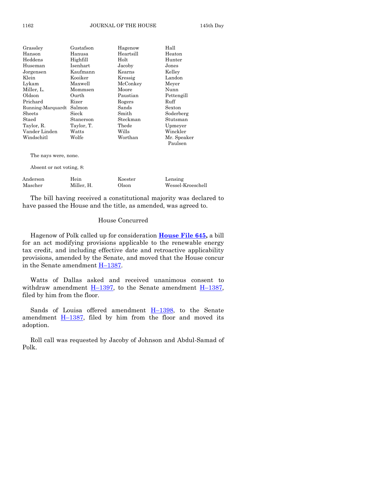| Grassley                 | Gustafson  | Hagenow   | Hall                   |
|--------------------------|------------|-----------|------------------------|
| Hanson                   | Hanusa     | Heartsill | Heaton                 |
| Heddens                  | Highfill   | Holt      | Hunter                 |
| Huseman                  | Isenhart   | Jacoby    | Jones                  |
| Jorgensen                | Kaufmann   | Kearns    | Kelley                 |
| Klein                    | Kooiker    | Kressig   | Landon                 |
| Lykam                    | Maxwell    | McConkey  | Meyer                  |
| Miller, L.               | Mommsen    | Moore     | Nunn                   |
| Oldson                   | Ourth      | Paustian  | Pettengill             |
| Prichard                 | Rizer      | Rogers    | Ruff                   |
| Running-Marquardt        | Salmon     | Sands     | Sexton                 |
| $\rm{Sheets}$            | Sieck      | Smith     | Soderberg              |
| Staed                    | Stanerson  | Steckman  | Stutsman               |
| Taylor, R.               | Taylor, T. | Thede     | Upmeyer                |
| Vander Linden            | Watts      | Wills     | Winckler               |
| Windschitl               | Wolfe      | Worthan   | Mr. Speaker<br>Paulsen |
| The nays were, none.     |            |           |                        |
| Absent or not voting, 8: |            |           |                        |
|                          |            |           |                        |

Anderson Hein Koester Lensing Mascher Miller, H. Olson Wessel-Kroeschell

The bill having received a constitutional majority was declared to have passed the House and the title, as amended, was agreed to.

#### House Concurred

Hagenow of Polk called up for consideration **[House File 645,](http://coolice.legis.iowa.gov/Cool-ICE/default.asp?Category=billinfo&Service=Billbook&frame=1&GA=86&hbill=HF645)** a bill for an act modifying provisions applicable to the renewable energy tax credit, and including effective date and retroactive applicability provisions, amended by the Senate, and moved that the House concur in the Senate amendment H–[1387.](http://coolice.legis.iowa.gov/Cool-ICE/default.asp?Category=billinfo&Service=Billbook&frame=1&GA=86&hbill=H1387)

Watts of Dallas asked and received unanimous consent to withdraw amendment  $H-1397$ , to the Senate amendment  $H-1387$ , filed by him from the floor.

Sands of Louisa offered amendment  $H-1398$ , to the Senate amendment  $H-1387$ , filed by him from the floor and moved its adoption.

Roll call was requested by Jacoby of Johnson and Abdul-Samad of Polk.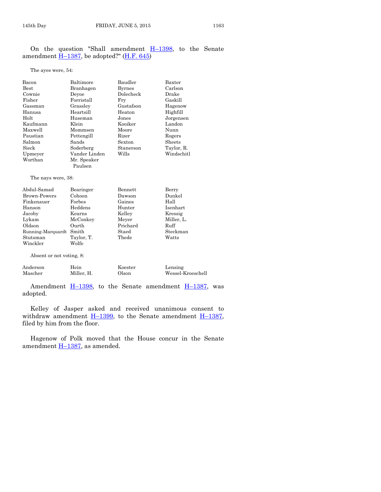On the question "Shall amendment  $H-1398$ , to the Senate amendment  $H-1387$ , be adopted?" ( $H.F. 645$ )

The ayes were, 54:

| Bacon                    | Baltimore     | Baudler       | Baxter     |  |
|--------------------------|---------------|---------------|------------|--|
| <b>Best</b>              | Branhagen     | <b>Byrnes</b> | Carlson    |  |
| Cownie                   | Devoe         | Dolecheck     | Drake      |  |
| Fisher                   | Forristall    | Fry           | Gaskill    |  |
| Gassman                  | Grassley      | Gustafson     | Hagenow    |  |
| Hanusa                   | Heartsill     | Heaton        | Highfill   |  |
| Holt                     | Huseman       | Jones         | Jorgensen  |  |
| Kaufmann                 | Klein         | Kooiker       | Landon     |  |
| Maxwell                  | Mommsen       | Moore         | Nunn       |  |
| Paustian                 | Pettengill    | Rizer         | Rogers     |  |
| Salmon                   | Sands         | Sexton        | Sheets     |  |
| Sieck                    | Soderberg     | Stanerson     | Taylor, R. |  |
| Upmeyer                  | Vander Linden | Wills         | Windschitl |  |
| Worthan                  | Mr. Speaker   |               |            |  |
|                          | Paulsen       |               |            |  |
| The nays were, 38:       |               |               |            |  |
| Abdul-Samad              | Bearinger     | Bennett       | Berry      |  |
| Brown-Powers             | Cohoon        | Dawson        | Dunkel     |  |
| Finkenauer               | Forbes        | Gaines        | Hall       |  |
| Hanson                   | Heddens       | Hunter        | Isenhart   |  |
| Jacoby                   | Kearns        | Kelley        | Kressig    |  |
| Lykam                    | McConkey      | Meyer         | Miller, L. |  |
| Oldson                   | Ourth         | Prichard      | Ruff       |  |
| Running-Marquardt        | Smith         | Staed         | Steckman   |  |
| Stutsman                 | Taylor, T.    | Thede         | Watts      |  |
| Winckler                 | Wolfe         |               |            |  |
| Absent or not voting, 8: |               |               |            |  |

| Anderson | Hein       | Koester | Lensing           |
|----------|------------|---------|-------------------|
| Mascher  | Miller. H. | Olson   | Wessel-Kroeschell |

Amendment  $\underline{H-1398}$ , to the Senate amendment  $\underline{H-1387}$ , was adopted.

Kelley of Jasper asked and received unanimous consent to withdraw amendment  $H-1399$ , to the Senate amendment  $H-1387$ , filed by him from the floor.

Hagenow of Polk moved that the House concur in the Senate amendment  $H-1387$ , as amended.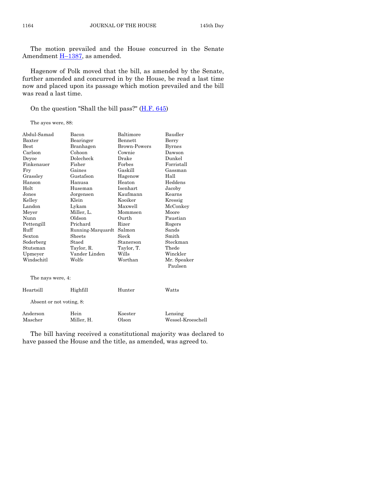The motion prevailed and the House concurred in the Senate Amendment  $\underline{H-1387}$ , as amended.

Hagenow of Polk moved that the bill, as amended by the Senate, further amended and concurred in by the House, be read a last time now and placed upon its passage which motion prevailed and the bill was read a last time.

On the question "Shall the bill pass?" [\(H.F. 645\)](http://coolice.legis.iowa.gov/Cool-ICE/default.asp?Category=billinfo&Service=Billbook&frame=1&GA=86&hbill=HF645)

The ayes were, 88:

| Abdul-Samad              | Bacon             | Baltimore           | Baudler           |
|--------------------------|-------------------|---------------------|-------------------|
| Baxter                   | Bearinger         | Bennett             | Berry             |
| <b>Best</b>              | Branhagen         | <b>Brown-Powers</b> | <b>Byrnes</b>     |
| Carlson                  | Cohoon            | Cownie              | Dawson            |
| Deyoe                    | Dolecheck         | Drake               | Dunkel            |
| Finkenauer               | Fisher            | Forbes              | Forristall        |
| Fry                      | Gaines            | Gaskill             | Gassman           |
| Grassley                 | Gustafson         | Hagenow             | Hall              |
| Hanson                   | Hanusa            | Heaton              | Heddens           |
| Holt                     | Huseman           | Isenhart            | Jacoby            |
| Jones                    | Jorgensen         | Kaufmann            | Kearns            |
| Kelley                   | Klein             | Kooiker             | Kressig           |
| Landon                   | Lykam             | Maxwell             | McConkey          |
| Meyer                    | Miller, L.        | Mommsen             | Moore             |
| Nunn                     | Oldson            | Ourth               | Paustian          |
| Pettengill               | Prichard          | Rizer               | Rogers            |
| Ruff                     | Running-Marquardt | Salmon              | Sands             |
| Sexton                   | Sheets            | Sieck               | Smith             |
| Soderberg                | Staed             | Stanerson           | Steckman          |
| Stutsman                 | Taylor, R.        | Taylor, T.          | Thede             |
| Upmeyer                  | Vander Linden     | Wills               | Winckler          |
| Windschitl               | Wolfe             | Worthan             | Mr. Speaker       |
|                          |                   |                     | Paulsen           |
| The nays were, 4:        |                   |                     |                   |
| Heartsill                | Highfill          | Hunter              | Watts             |
| Absent or not voting, 8: |                   |                     |                   |
| Anderson                 | Hein              | Koester             | Lensing           |
| Mascher                  | Miller, H.        | Olson               | Wessel-Kroeschell |
|                          |                   |                     |                   |

The bill having received a constitutional majority was declared to have passed the House and the title, as amended, was agreed to.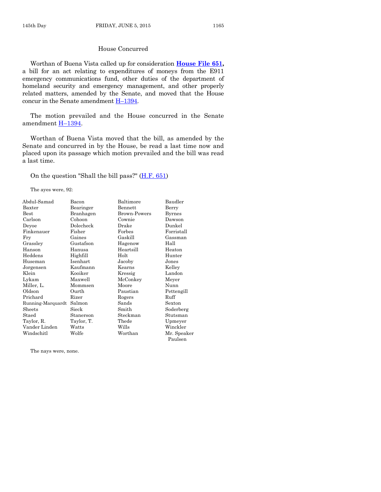#### House Concurred

Worthan of Buena Vista called up for consideration **[House File 651,](http://coolice.legis.iowa.gov/Cool-ICE/default.asp?Category=billinfo&Service=Billbook&frame=1&GA=86&hbill=HF651)** a bill for an act relating to expenditures of moneys from the E911 emergency communications fund, other duties of the department of homeland security and emergency management, and other properly related matters, amended by the Senate, and moved that the House concur in the Senate amendment H–[1394.](http://coolice.legis.iowa.gov/Cool-ICE/default.asp?Category=billinfo&Service=Billbook&frame=1&GA=86&hbill=H1394)

The motion prevailed and the House concurred in the Senate amendment H–[1394.](http://coolice.legis.iowa.gov/Cool-ICE/default.asp?Category=billinfo&Service=Billbook&frame=1&GA=86&hbill=H1394)

Worthan of Buena Vista moved that the bill, as amended by the Senate and concurred in by the House, be read a last time now and placed upon its passage which motion prevailed and the bill was read a last time.

On the question "Shall the bill pass?"  $(H.F. 651)$ 

The ayes were, 92:

| Abdul-Samad       | Bacon      | Baltimore           | Baudler       |
|-------------------|------------|---------------------|---------------|
| Baxter            | Bearinger  | Bennett             | Berry         |
| Best              | Branhagen  | <b>Brown-Powers</b> | <b>Byrnes</b> |
| Carlson           | Cohoon     | Cownie              | Dawson        |
| Deyoe             | Dolecheck  | Drake               | Dunkel        |
| Finkenauer        | Fisher     | Forbes              | Forristall    |
| Fry               | Gaines     | Gaskill             | Gassman       |
| Grassley          | Gustafson  | Hagenow             | Hall          |
| Hanson            | Hanusa     | Heartsill           | Heaton        |
| Heddens           | Highfill   | Holt                | Hunter        |
| Huseman           | Isenhart   | Jacoby              | Jones         |
| Jorgensen         | Kaufmann   | Kearns              | Kelley        |
| Klein             | Kooiker    | Kressig             | Landon        |
| Lykam             | Maxwell    | McConkey            | Meyer         |
| Miller, L.        | Mommsen    | Moore               | Nunn          |
| Oldson            | Ourth      | Paustian            | Pettengill    |
| Prichard          | Rizer      | Rogers              | Ruff          |
| Running-Marquardt | Salmon     | Sands               | Sexton        |
| Sheets            | Sieck      | Smith               | Soderberg     |
| Staed             | Stanerson  | Steckman            | Stutsman      |
| Taylor, R.        | Taylor, T. | Thede               | Upmeyer       |
| Vander Linden     | Watts      | Wills               | Winckler      |
| Windschitl        | Wolfe      | Worthan             | Mr. Speaker   |
|                   |            |                     | Paulsen       |

The nays were, none.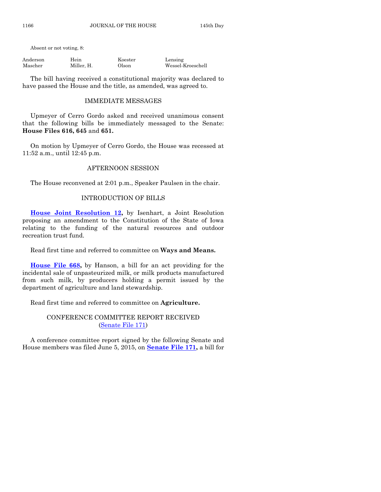Absent or not voting, 8:

| Anderson | Hein       | Koester | Lensing           |
|----------|------------|---------|-------------------|
| Mascher  | Miller, H. | Olson   | Wessel-Kroeschell |

The bill having received a constitutional majority was declared to have passed the House and the title, as amended, was agreed to.

#### IMMEDIATE MESSAGES

Upmeyer of Cerro Gordo asked and received unanimous consent that the following bills be immediately messaged to the Senate: **House Files 616, 645** and **651.**

On motion by Upmeyer of Cerro Gordo, the House was recessed at 11:52 a.m., until 12:45 p.m.

#### AFTERNOON SESSION

The House reconvened at 2:01 p.m., Speaker Paulsen in the chair.

# INTRODUCTION OF BILLS

**[House Joint Resolution 12,](http://coolice.legis.iowa.gov/Cool-ICE/default.asp?Category=billinfo&Service=Billbook&frame=1&GA=86&hbill=HJR12)** by Isenhart, a Joint Resolution proposing an amendment to the Constitution of the State of Iowa relating to the funding of the natural resources and outdoor recreation trust fund.

Read first time and referred to committee on **Ways and Means.**

**[House File 668,](http://coolice.legis.iowa.gov/Cool-ICE/default.asp?Category=billinfo&Service=Billbook&frame=1&GA=86&hbill=HF668)** by Hanson, a bill for an act providing for the incidental sale of unpasteurized milk, or milk products manufactured from such milk, by producers holding a permit issued by the department of agriculture and land stewardship.

Read first time and referred to committee on **Agriculture.**

#### CONFERENCE COMMITTEE REPORT RECEIVED [\(Senate File 171\)](http://coolice.legis.iowa.gov/Cool-ICE/default.asp?Category=billinfo&Service=Billbook&frame=1&GA=86&hbill=SF171)

A conference committee report signed by the following Senate and House members was filed June 5, 2015, on **[Senate File 171,](http://coolice.legis.iowa.gov/Cool-ICE/default.asp?Category=billinfo&Service=Billbook&frame=1&GA=86&hbill=SF171)** a bill for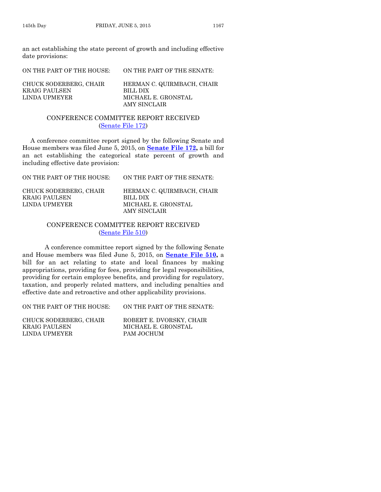an act establishing the state percent of growth and including effective date provisions:

ON THE PART OF THE HOUSE: ON THE PART OF THE SENATE: CHUCK SODERBERG, CHAIR HERMAN C. QUIRMBACH, CHAIR KRAIG PAULSEN BILL DIX LINDA UPMEYER MICHAEL E. GRONSTAL AMY SINCLAIR

#### CONFERENCE COMMITTEE REPORT RECEIVED [\(Senate File 172\)](http://coolice.legis.iowa.gov/Cool-ICE/default.asp?Category=billinfo&Service=Billbook&frame=1&GA=86&hbill=SF172)

A conference committee report signed by the following Senate and House members was filed June 5, 2015, on **[Senate File 172,](http://coolice.legis.iowa.gov/Cool-ICE/default.asp?Category=billinfo&Service=Billbook&frame=1&GA=86&hbill=SF172)** a bill for an act establishing the categorical state percent of growth and including effective date provision:

ON THE PART OF THE HOUSE: ON THE PART OF THE SENATE: CHUCK SODERBERG, CHAIR HERMAN C. QUIRMBACH, CHAIR KRAIG PAULSEN BILL DIX LINDA UPMEYER MICHAEL E. GRONSTAL AMY SINCLAIR

#### CONFERENCE COMMITTEE REPORT RECEIVED [\(Senate File 510\)](http://coolice.legis.iowa.gov/Cool-ICE/default.asp?Category=billinfo&Service=Billbook&frame=1&GA=86&hbill=SF510)

A conference committee report signed by the following Senate and House members was filed June 5, 2015, on **[Senate File 510,](http://coolice.legis.iowa.gov/Cool-ICE/default.asp?Category=billinfo&Service=Billbook&frame=1&GA=86&hbill=SF510)** a bill for an act relating to state and local finances by making appropriations, providing for fees, providing for legal responsibilities, providing for certain employee benefits, and providing for regulatory, taxation, and properly related matters, and including penalties and effective date and retroactive and other applicability provisions.

ON THE PART OF THE HOUSE: ON THE PART OF THE SENATE:

CHUCK SODERBERG, CHAIR ROBERT E. DVORSKY, CHAIR KRAIG PAULSEN MICHAEL E. GRONSTAL LINDA UPMEYER PAM JOCHUM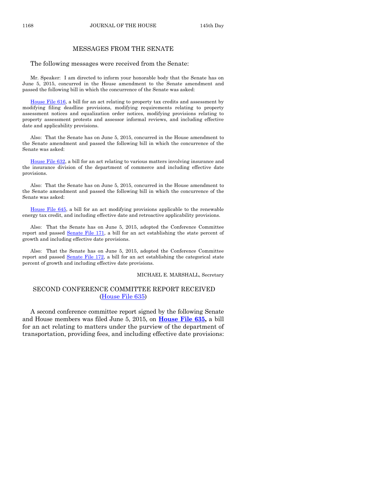#### MESSAGES FROM THE SENATE

The following messages were received from the Senate:

Mr. Speaker: I am directed to inform your honorable body that the Senate has on June 5, 2015, concurred in the House amendment to the Senate amendment and passed the following bill in which the concurrence of the Senate was asked:

[House File 616,](http://coolice.legis.iowa.gov/Cool-ICE/default.asp?Category=billinfo&Service=Billbook&frame=1&GA=86&hbill=HF616) a bill for an act relating to property tax credits and assessment by modifying filing deadline provisions, modifying requirements relating to property assessment notices and equalization order notices, modifying provisions relating to property assessment protests and assessor informal reviews, and including effective date and applicability provisions.

Also: That the Senate has on June 5, 2015, concurred in the House amendment to the Senate amendment and passed the following bill in which the concurrence of the Senate was asked:

[House File 632,](http://coolice.legis.iowa.gov/Cool-ICE/default.asp?Category=billinfo&Service=Billbook&frame=1&GA=86&hbill=HF632) a bill for an act relating to various matters involving insurance and the insurance division of the department of commerce and including effective date provisions.

Also: That the Senate has on June 5, 2015, concurred in the House amendment to the Senate amendment and passed the following bill in which the concurrence of the Senate was asked:

[House File 645,](http://coolice.legis.iowa.gov/Cool-ICE/default.asp?Category=billinfo&Service=Billbook&frame=1&GA=86&hbill=HF645) a bill for an act modifying provisions applicable to the renewable energy tax credit, and including effective date and retroactive applicability provisions.

Also: That the Senate has on June 5, 2015, adopted the Conference Committee report and passed [Senate File 171,](http://coolice.legis.iowa.gov/Cool-ICE/default.asp?Category=billinfo&Service=Billbook&frame=1&GA=86&hbill=SF171) a bill for an act establishing the state percent of growth and including effective date provisions.

Also: That the Senate has on June 5, 2015, adopted the Conference Committee report and passed [Senate File 172,](http://coolice.legis.iowa.gov/Cool-ICE/default.asp?Category=billinfo&Service=Billbook&frame=1&GA=86&hbill=SF172) a bill for an act establishing the categorical state percent of growth and including effective date provisions.

#### MICHAEL E. MARSHALL, Secretary

#### SECOND CONFERENCE COMMITTEE REPORT RECEIVED [\(House File 635\)](http://coolice.legis.iowa.gov/Cool-ICE/default.asp?Category=billinfo&Service=Billbook&frame=1&GA=86&hbill=HF635)

A second conference committee report signed by the following Senate and House members was filed June 5, 2015, on **[House File 635,](http://coolice.legis.iowa.gov/Cool-ICE/default.asp?Category=billinfo&Service=Billbook&frame=1&GA=86&hbill=HF635)** a bill for an act relating to matters under the purview of the department of transportation, providing fees, and including effective date provisions: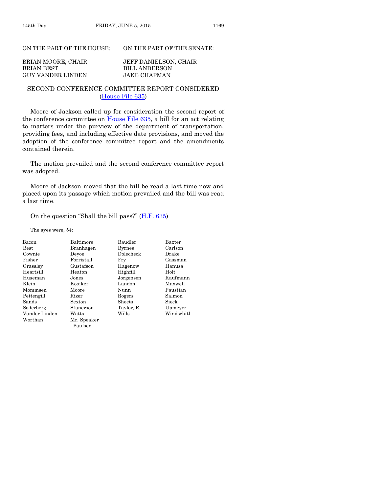#### ON THE PART OF THE HOUSE: ON THE PART OF THE SENATE:

| BRIAN MOORE, CHAIR       | <b>JEFF DANIELSON, CHAIR</b> |
|--------------------------|------------------------------|
| BRIAN BEST               | BILL ANDERSON                |
| <b>GUY VANDER LINDEN</b> | JAKE CHAPMAN                 |

#### SECOND CONFERENCE COMMITTEE REPORT CONSIDERED [\(House File 635\)](http://coolice.legis.iowa.gov/Cool-ICE/default.asp?Category=billinfo&Service=Billbook&frame=1&GA=86&hbill=HF635)

Moore of Jackson called up for consideration the second report of the conference committee on [House File 635,](http://coolice.legis.iowa.gov/Cool-ICE/default.asp?Category=billinfo&Service=Billbook&frame=1&GA=86&hbill=HF635) a bill for an act relating to matters under the purview of the department of transportation, providing fees, and including effective date provisions, and moved the adoption of the conference committee report and the amendments contained therein.

The motion prevailed and the second conference committee report was adopted.

Moore of Jackson moved that the bill be read a last time now and placed upon its passage which motion prevailed and the bill was read a last time.

#### On the question "Shall the bill pass?" ([H.F. 635\)](http://coolice.legis.iowa.gov/Cool-ICE/default.asp?Category=billinfo&Service=Billbook&frame=1&GA=86&hbill=HF635)

The ayes were, 54:

| Bacon         | Baltimore   | Baudler       | <b>Baxter</b> |
|---------------|-------------|---------------|---------------|
| Best          | Branhagen   | <b>Byrnes</b> | Carlson       |
| Cownie        | Devoe       | Dolecheck     | Drake         |
| Fisher        | Forristall  | Fry           | Gassman       |
| Grassley      | Gustafson   | Hagenow       | Hanusa        |
| Heartsill     | Heaton      | Highfill      | Holt          |
| Huseman       | Jones       | Jorgensen     | Kaufmann      |
| Klein         | Kooiker     | Landon        | Maxwell       |
| Mommsen       | Moore       | Nunn          | Paustian      |
| Pettengill    | Rizer       | Rogers        | Salmon        |
| Sands         | Sexton      | Sheets        | Sieck         |
| Soderberg     | Stanerson   | Taylor, R.    | Upmeyer       |
| Vander Linden | Watts       | Wills         | Windschitl    |
| Worthan       | Mr. Speaker |               |               |
|               | Paulsen     |               |               |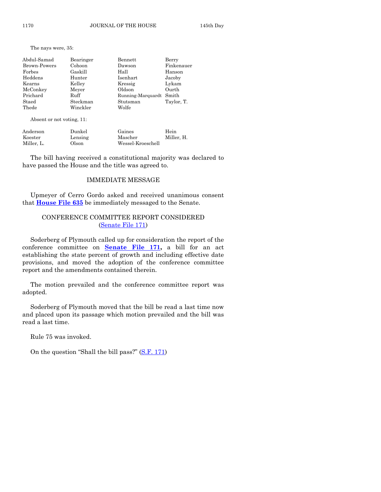The nays were, 35:

| Abdul-Samad<br>Brown-Powers<br>Forbes<br>Heddens<br>Kearns<br>McConkey<br>Prichard<br>Staed | Bearinger<br>Cohoon<br>Gaskill<br>Hunter<br>Kelley<br>Meyer<br>Ruff<br>Steckman | Bennett<br>Dawson<br>Hall<br>Isenhart<br>Kressig<br>Oldson<br>Running-Marquardt Smith<br>Stutsman | Berry<br>Finkenauer<br>Hanson<br>Jacoby<br>Lykam<br>Ourth |
|---------------------------------------------------------------------------------------------|---------------------------------------------------------------------------------|---------------------------------------------------------------------------------------------------|-----------------------------------------------------------|
| Thede                                                                                       | Winckler                                                                        | Wolfe                                                                                             | Taylor, T.                                                |

Absent or not voting, 11:

| Anderson   | Dunkel  | Gaines            | Hein       |
|------------|---------|-------------------|------------|
| Koester    | Lensing | Mascher           | Miller. H. |
| Miller. L. | Olson   | Wessel-Kroeschell |            |

The bill having received a constitutional majority was declared to have passed the House and the title was agreed to.

#### IMMEDIATE MESSAGE

Upmeyer of Cerro Gordo asked and received unanimous consent that **[House File 635](http://coolice.legis.iowa.gov/Cool-ICE/default.asp?Category=billinfo&Service=Billbook&frame=1&GA=86&hbill=HF635)** be immediately messaged to the Senate.

#### CONFERENCE COMMITTEE REPORT CONSIDERED [\(Senate File 171\)](http://coolice.legis.iowa.gov/Cool-ICE/default.asp?Category=billinfo&Service=Billbook&frame=1&GA=86&hbill=SF171)

Soderberg of Plymouth called up for consideration the report of the conference committee on **[Senate File 171,](http://coolice.legis.iowa.gov/Cool-ICE/default.asp?Category=billinfo&Service=Billbook&frame=1&GA=86&hbill=SF171)** a bill for an act establishing the state percent of growth and including effective date provisions, and moved the adoption of the conference committee report and the amendments contained therein.

The motion prevailed and the conference committee report was adopted.

Soderberg of Plymouth moved that the bill be read a last time now and placed upon its passage which motion prevailed and the bill was read a last time.

Rule 75 was invoked.

On the question "Shall the bill pass?" ([S.F. 171\)](http://coolice.legis.iowa.gov/Cool-ICE/default.asp?Category=billinfo&Service=Billbook&frame=1&GA=86&hbill=SF171)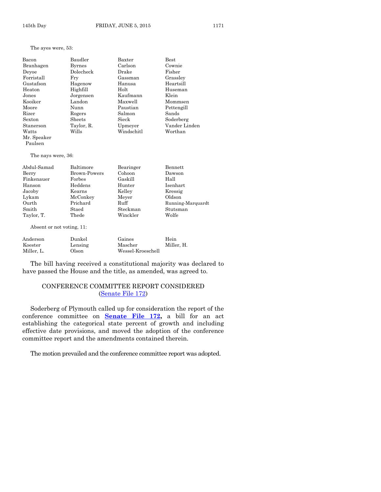The ayes were, 53:

| Bacon       | Baudler       | Baxter     | <b>Best</b>   |
|-------------|---------------|------------|---------------|
| Branhagen   | <b>Byrnes</b> | Carlson    | Cownie        |
| Devoe       | Dolecheck     | Drake      | Fisher        |
| Forristall  | Frv           | Gassman    | Grassley      |
| Gustafson   | Hagenow       | Hanusa     | Heartsill     |
| Heaton      | Highfill      | Holt       | Huseman       |
| Jones       | Jorgensen     | Kaufmann   | Klein         |
| Kooiker     | Landon        | Maxwell    | Mommsen       |
| Moore       | Nunn          | Paustian   | Pettengill    |
| Rizer       | Rogers        | Salmon     | Sands         |
| Sexton      | Sheets        | Sieck      | Soderberg     |
| Stanerson   | Taylor, R.    | Upmeyer    | Vander Linden |
| Watts       | Wills         | Windschitl | Worthan       |
| Mr. Speaker |               |            |               |

The nays were, 36:

Paulsen

| Abdul-Samad | Baltimore    | Bearinger | Bennett           |
|-------------|--------------|-----------|-------------------|
| Berry       | Brown-Powers | Cohoon    | Dawson            |
| Finkenauer  | Forbes       | Gaskill   | Hall              |
| Hanson      | Heddens      | Hunter    | Isenhart          |
| Jacoby      | Kearns       | Kelley    | Kressig           |
| Lykam       | McConkey     | Meyer     | Oldson            |
| Ourth       | Prichard     | Ruff      | Running-Marquardt |
| Smith       | Staed        | Steckman  | Stutsman          |
| Taylor, T.  | Thede        | Winckler  | Wolfe             |

Absent or not voting, 11:

| Anderson   | Dunkel  | Gaines            | Hein       |
|------------|---------|-------------------|------------|
| Koester    | Lensing | Mascher           | Miller. H. |
| Miller. L. | Olson   | Wessel-Kroeschell |            |

The bill having received a constitutional majority was declared to have passed the House and the title, as amended, was agreed to.

# CONFERENCE COMMITTEE REPORT CONSIDERED [\(Senate File 172\)](http://coolice.legis.iowa.gov/Cool-ICE/default.asp?Category=billinfo&Service=Billbook&frame=1&GA=86&hbill=SF172)

Soderberg of Plymouth called up for consideration the report of the conference committee on **[Senate File 172,](http://coolice.legis.iowa.gov/Cool-ICE/default.asp?Category=billinfo&Service=Billbook&frame=1&GA=86&hbill=SF172)** a bill for an act establishing the categorical state percent of growth and including effective date provisions, and moved the adoption of the conference committee report and the amendments contained therein.

The motion prevailed and the conference committee report was adopted.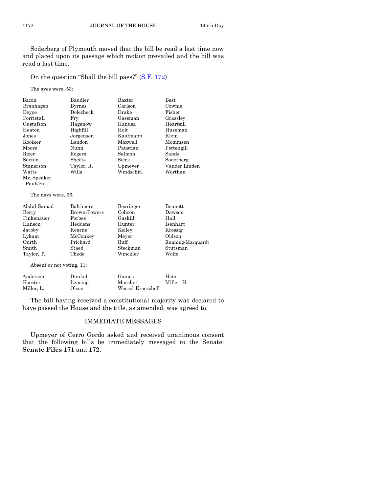Soderberg of Plymouth moved that the bill be read a last time now and placed upon its passage which motion prevailed and the bill was read a last time.

On the question "Shall the bill pass?" ([S.F. 172\)](http://coolice.legis.iowa.gov/Cool-ICE/default.asp?Category=billinfo&Service=Billbook&frame=1&GA=86&hbill=SF172)

The ayes were, 53:

| Bacon                     | Baudler       | Baxter     | <b>Best</b>       |
|---------------------------|---------------|------------|-------------------|
| Branhagen                 | <b>Byrnes</b> | Carlson    | Cownie            |
| Devoe                     | Dolecheck     | Drake      | Fisher            |
| Forristall                | Fry           | Gassman    | Grassley          |
| Gustafson                 | Hagenow       | Hanusa     | Heartsill         |
| Heaton                    | Highfill      | Holt       | Huseman           |
| Jones                     | Jorgensen     | Kaufmann   | Klein             |
| Kooiker                   | Landon        | Maxwell    | Mommsen           |
| Moore                     | Nunn          | Paustian   | Pettengill        |
| Rizer                     | Rogers        | Salmon     | Sands             |
| Sexton                    | Sheets        | Sieck      | Soderberg         |
| Stanerson                 | Taylor, R.    | Upmeyer    | Vander Linden     |
| Watts                     | Wills         | Windschitl | Worthan           |
| Mr. Speaker               |               |            |                   |
| Paulsen                   |               |            |                   |
| The nays were, 36:        |               |            |                   |
| Abdul-Samad               | Baltimore     | Bearinger  | <b>Bennett</b>    |
| Berry                     | Brown-Powers  | Cohoon     | Dawson            |
| Finkenauer                | Forbes        | Gaskill    | Hall              |
| Hanson                    | Heddens       | Hunter     | <b>Isenhart</b>   |
| Jacoby                    | Kearns        | Kelley     | Kressig           |
| Lykam                     | McConkey      | Meyer      | Oldson            |
| Ourth                     | Prichard      | Ruff       | Running-Marquardt |
| Smith                     | Staed         | Steckman   | Stutsman          |
| Taylor, T.                | Thede         | Winckler   | Wolfe             |
| Absent or not voting, 11: |               |            |                   |
| Anderson                  | Dunkel        | Gaines     | Hein              |
| $\rm Koester$             | Lensing       | Mascher    | Miller, H.        |

The bill having received a constitutional majority was declared to have passed the House and the title, as amended, was agreed to.

Miller, L. Olson Wessel-Kroeschell

#### IMMEDIATE MESSAGES

Upmeyer of Cerro Gordo asked and received unanimous consent that the following bills be immediately messaged to the Senate: **Senate Files 171** and **172.**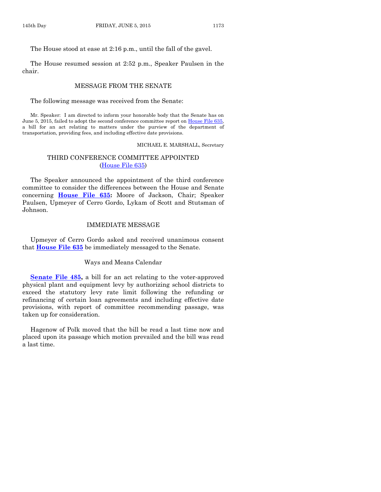The House stood at ease at 2:16 p.m., until the fall of the gavel.

The House resumed session at 2:52 p.m., Speaker Paulsen in the chair.

#### MESSAGE FROM THE SENATE

The following message was received from the Senate:

Mr. Speaker: I am directed to inform your honorable body that the Senate has on June 5, 2015, failed to adopt the second conference committee report on [House File 635,](http://coolice.legis.iowa.gov/Cool-ICE/default.asp?Category=billinfo&Service=Billbook&frame=1&GA=86&hbill=HF635) a bill for an act relating to matters under the purview of the department of transportation, providing fees, and including effective date provisions.

MICHAEL E. MARSHALL, Secretary

#### THIRD CONFERENCE COMMITTEE APPOINTED [\(House File 635\)](http://coolice.legis.iowa.gov/Cool-ICE/default.asp?Category=billinfo&Service=Billbook&frame=1&GA=86&hbill=HF635)

The Speaker announced the appointment of the third conference committee to consider the differences between the House and Senate concerning **[House File 635:](http://coolice.legis.iowa.gov/Cool-ICE/default.asp?Category=billinfo&Service=Billbook&frame=1&GA=86&hbill=HF635)** Moore of Jackson, Chair; Speaker Paulsen, Upmeyer of Cerro Gordo, Lykam of Scott and Stutsman of Johnson.

#### IMMEDIATE MESSAGE

Upmeyer of Cerro Gordo asked and received unanimous consent that **[House File 635](http://coolice.legis.iowa.gov/Cool-ICE/default.asp?Category=billinfo&Service=Billbook&frame=1&GA=86&hbill=HF635)** be immediately messaged to the Senate.

#### Ways and Means Calendar

**[Senate File 485,](http://coolice.legis.iowa.gov/Cool-ICE/default.asp?Category=billinfo&Service=Billbook&frame=1&GA=86&hbill=SF485)** a bill for an act relating to the voter-approved physical plant and equipment levy by authorizing school districts to exceed the statutory levy rate limit following the refunding or refinancing of certain loan agreements and including effective date provisions, with report of committee recommending passage, was taken up for consideration.

Hagenow of Polk moved that the bill be read a last time now and placed upon its passage which motion prevailed and the bill was read a last time.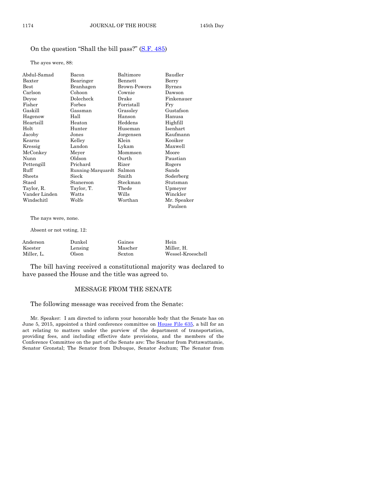#### On the question "Shall the bill pass?" ([S.F. 485\)](http://coolice.legis.iowa.gov/Cool-ICE/default.asp?Category=billinfo&Service=Billbook&frame=1&GA=86&hbill=SF485)

The ayes were, 88:

| Abdul-Samad   | Bacon             | Baltimore           | Baudler     |
|---------------|-------------------|---------------------|-------------|
| Baxter        | Bearinger         | Bennett             | Berry       |
| $_{\rm Best}$ | Branhagen         | <b>Brown-Powers</b> | Byrnes      |
| Carlson       | Cohoon            | Cownie              | Dawson      |
| Deyoe         | Dolecheck         | Drake               | Finkenauer  |
| Fisher        | Forbes            | Forristall          | Fry         |
| Gaskill       | Gassman           | Grassley            | Gustafson   |
| Hagenow       | Hall              | Hanson              | Hanusa      |
| Heartsill     | Heaton            | Heddens             | Highfill    |
| Holt          | Hunter            | Huseman             | Isenhart    |
| Jacoby        | Jones             | Jorgensen           | Kaufmann    |
| Kearns        | Kelley            | Klein               | Kooiker     |
| Kressig       | Landon            | Lykam               | Maxwell     |
| McConkey      | Meyer             | Mommsen             | Moore       |
| Nunn          | Oldson            | Ourth               | Paustian    |
| Pettengill    | Prichard          | Rizer               | Rogers      |
| Ruff          | Running-Marquardt | Salmon              | Sands       |
| Sheets        | Sieck             | Smith               | Soderberg   |
| Staed         | Stanerson         | Steckman            | Stutsman    |
| Taylor, R.    | Taylor, T.        | Thede               | Upmeyer     |
| Vander Linden | Watts             | Wills               | Winckler    |
| Windschitl    | Wolfe             | Worthan             | Mr. Speaker |
|               |                   |                     | Paulsen     |

The nays were, none.

Absent or not voting, 12:

| Anderson   | Dunkel  | Gaines  | Hein              |
|------------|---------|---------|-------------------|
| Koester    | Lensing | Mascher | Miller. H.        |
| Miller. L. | Olson   | Sexton  | Wessel-Kroeschell |

The bill having received a constitutional majority was declared to have passed the House and the title was agreed to.

#### MESSAGE FROM THE SENATE

The following message was received from the Senate:

Mr. Speaker: I am directed to inform your honorable body that the Senate has on June 5, 2015, appointed a third conference committee on [House File 635,](http://coolice.legis.iowa.gov/Cool-ICE/default.asp?Category=billinfo&Service=Billbook&frame=1&GA=86&hbill=HF635) a bill for an act relating to matters under the purview of the department of transportation, providing fees, and including effective date provisions, and the members of the Conference Committee on the part of the Senate are: The Senator from Pottawattamie, Senator Gronstal; The Senator from Dubuque, Senator Jochum; The Senator from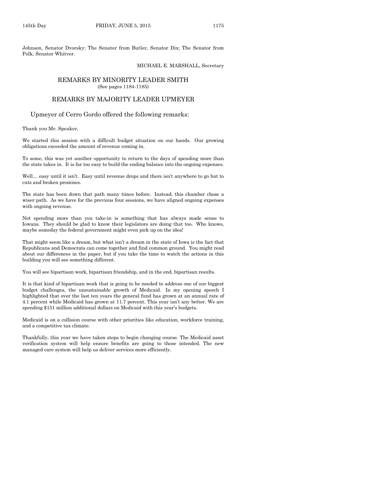Johnson, Senator Dvorsky; The Senator from Butler, Senator Dix; The Senator from Polk, Senator Whitver.

#### MICHAEL E. MARSHALL, Secretary

#### REMARKS BY MINORITY LEADER SMITH (See pages 1184-1185)

#### REMARKS BY MAJORITY LEADER UPMEYER

Upmeyer of Cerro Gordo offered the following remarks:

Thank you Mr. Speaker,

We started this session with a difficult budget situation on our hands. Our growing obligations exceeded the amount of revenue coming in.

To some, this was yet another opportunity to return to the days of spending more than the state takes in. It is far too easy to build the ending balance into the ongoing expenses.

Well… easy until it isn't. Easy until revenue drops and there isn't anywhere to go but to cuts and broken promises.

The state has been down that path many times before. Instead, this chamber chose a wiser path. As we have for the previous four sessions, we have aligned ongoing expenses with ongoing revenue.

Not spending more than you take-in is something that has always made sense to Iowans. They should be glad to know their legislators are doing that too. Who knows, maybe someday the federal government might even pick up on the idea!

That might seem like a dream, but what isn't a dream in the state of Iowa is the fact that Republicans and Democrats can come together and find common ground. You might read about our differences in the paper, but if you take the time to watch the actions in this building you will see something different.

You will see bipartisan work, bipartisan friendship, and in the end, bipartisan results.

It is that kind of bipartisan work that is going to be needed to address one of our biggest budget challenges, the unsustainable growth of Medicaid. In my opening speech I highlighted that over the last ten years the general fund has grown at an annual rate of 4.1 percent while Medicaid has grown at 11.7 percent. This year isn't any better. We are spending \$151 million additional dollars on Medicaid with this year's budgets.

Medicaid is on a collision course with other priorities like education, workforce training, and a competitive tax climate.

Thankfully, this year we have taken steps to begin changing course. The Medicaid asset verification system will help ensure benefits are going to those intended. The new managed care system will help us deliver services more efficiently.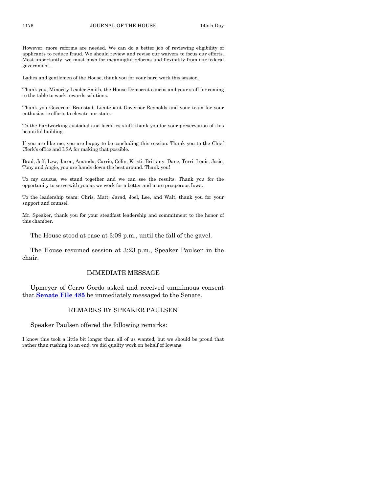However, more reforms are needed. We can do a better job of reviewing eligibility of applicants to reduce fraud. We should review and revise our waivers to focus our efforts. Most importantly, we must push for meaningful reforms and flexibility from our federal government.

Ladies and gentlemen of the House, thank you for your hard work this session.

Thank you, Minority Leader Smith, the House Democrat caucus and your staff for coming to the table to work towards solutions.

Thank you Governor Branstad, Lieutenant Governor Reynolds and your team for your enthusiastic efforts to elevate our state.

To the hardworking custodial and facilities staff, thank you for your preservation of this beautiful building.

If you are like me, you are happy to be concluding this session. Thank you to the Chief Clerk's office and LSA for making that possible.

Brad, Jeff, Lew, Jason, Amanda, Carrie, Colin, Kristi, Brittany, Dane, Terri, Louis, Josie, Tony and Angie, you are hands down the best around. Thank you!

To my caucus, we stand together and we can see the results. Thank you for the opportunity to serve with you as we work for a better and more prosperous Iowa.

To the leadership team: Chris, Matt, Jarad, Joel, Lee, and Walt, thank you for your support and counsel.

Mr. Speaker, thank you for your steadfast leadership and commitment to the honor of this chamber.

The House stood at ease at 3:09 p.m., until the fall of the gavel.

The House resumed session at 3:23 p.m., Speaker Paulsen in the chair.

#### IMMEDIATE MESSAGE

Upmeyer of Cerro Gordo asked and received unanimous consent that **[Senate File 485](http://coolice.legis.iowa.gov/Cool-ICE/default.asp?Category=billinfo&Service=Billbook&frame=1&GA=86&hbill=SF485)** be immediately messaged to the Senate.

#### REMARKS BY SPEAKER PAULSEN

Speaker Paulsen offered the following remarks:

I know this took a little bit longer than all of us wanted, but we should be proud that rather than rushing to an end, we did quality work on behalf of Iowans.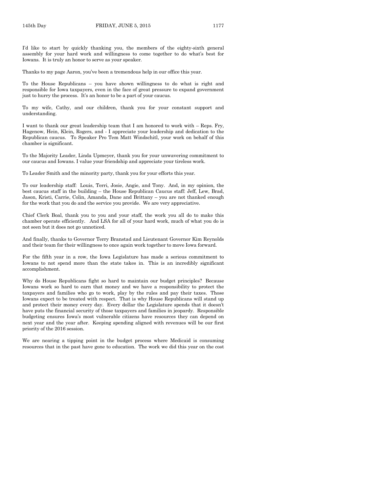I'd like to start by quickly thanking you, the members of the eighty-sixth general assembly for your hard work and willingness to come together to do what's best for Iowans. It is truly an honor to serve as your speaker.

Thanks to my page Aaron, you've been a tremendous help in our office this year.

To the House Republicans – you have shown willingness to do what is right and responsible for Iowa taxpayers, even in the face of great pressure to expand government just to hurry the process. It's an honor to be a part of your caucus.

To my wife, Cathy, and our children, thank you for your constant support and understanding.

I want to thank our great leadership team that I am honored to work with – Reps. Fry, Hagenow, Hein, Klein, Rogers, and - I appreciate your leadership and dedication to the Republican caucus. To Speaker Pro Tem Matt Windschitl, your work on behalf of this chamber is significant.

To the Majority Leader, Linda Upmeyer, thank you for your unwavering commitment to our caucus and Iowans. I value your friendship and appreciate your tireless work.

To Leader Smith and the minority party, thank you for your efforts this year.

To our leadership staff: Louis, Terri, Josie, Angie, and Tony. And, in my opinion, the best caucus staff in the building – the House Republican Caucus staff: Jeff, Lew, Brad, Jason, Kristi, Carrie, Colin, Amanda, Dane and Brittany – you are not thanked enough for the work that you do and the service you provide. We are very appreciative.

Chief Clerk Boal, thank you to you and your staff, the work you all do to make this chamber operate efficiently. And LSA for all of your hard work, much of what you do is not seen but it does not go unnoticed.

And finally, thanks to Governor Terry Branstad and Lieutenant Governor Kim Reynolds and their team for their willingness to once again work together to move Iowa forward.

For the fifth year in a row, the Iowa Legislature has made a serious commitment to Iowans to not spend more than the state takes in. This is an incredibly significant accomplishment.

Why do House Republicans fight so hard to maintain our budget principles? Because Iowans work so hard to earn that money and we have a responsibility to protect the taxpayers and families who go to work, play by the rules and pay their taxes. Those Iowans expect to be treated with respect. That is why House Republicans will stand up and protect their money every day. Every dollar the Legislature spends that it doesn't have puts the financial security of those taxpayers and families in jeopardy. Responsible budgeting ensures Iowa's most vulnerable citizens have resources they can depend on next year and the year after. Keeping spending aligned with revenues will be our first priority of the 2016 session.

We are nearing a tipping point in the budget process where Medicaid is consuming resources that in the past have gone to education. The work we did this year on the cost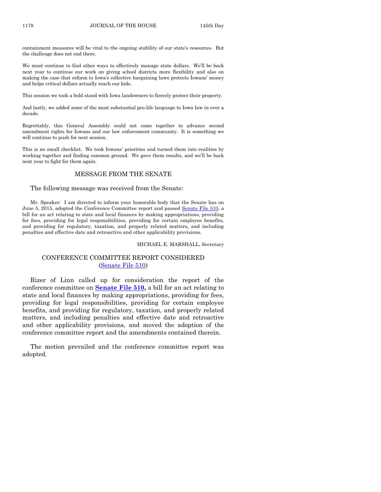containment measures will be vital to the ongoing stability of our state's resources. But the challenge does not end there.

We must continue to find other ways to effectively manage state dollars. We'll be back next year to continue our work on giving school districts more flexibility and also on making the case that reform to Iowa's collective bargaining laws protects Iowans' money and helps critical dollars actually reach our kids.

This session we took a bold stand with Iowa landowners to fiercely protect their property.

And lastly, we added some of the most substantial pro-life language to Iowa law in over a decade.

Regrettably, this General Assembly could not come together to advance second amendment rights for Iowans and our law enforcement community. It is something we will continue to push for next session.

This is no small checklist. We took Iowans' priorities and turned them into realities by working together and finding common ground. We gave them results, and we'll be back next year to fight for them again.

#### MESSAGE FROM THE SENATE

The following message was received from the Senate:

Mr. Speaker: I am directed to inform your honorable body that the Senate has on June 5, 2015, adopted the Conference Committee report and passed [Senate File 510,](http://coolice.legis.iowa.gov/Cool-ICE/default.asp?Category=billinfo&Service=Billbook&frame=1&GA=86&hbill=SF510) a bill for an act relating to state and local finances by making appropriations, providing for fees, providing for legal responsibilities, providing for certain employee benefits, and providing for regulatory, taxation, and properly related matters, and including penalties and effective date and retroactive and other applicability provisions.

#### MICHAEL E. MARSHALL, Secretary

#### CONFERENCE COMMITTEE REPORT CONSIDERED [\(Senate File 510\)](http://coolice.legis.iowa.gov/Cool-ICE/default.asp?Category=billinfo&Service=Billbook&frame=1&GA=86&hbill=SF510)

Rizer of Linn called up for consideration the report of the conference committee on **[Senate File 510,](http://coolice.legis.iowa.gov/Cool-ICE/default.asp?Category=billinfo&Service=Billbook&frame=1&GA=86&hbill=SF510)** a bill for an act relating to state and local finances by making appropriations, providing for fees, providing for legal responsibilities, providing for certain employee benefits, and providing for regulatory, taxation, and properly related matters, and including penalties and effective date and retroactive and other applicability provisions, and moved the adoption of the conference committee report and the amendments contained therein.

The motion prevailed and the conference committee report was adopted.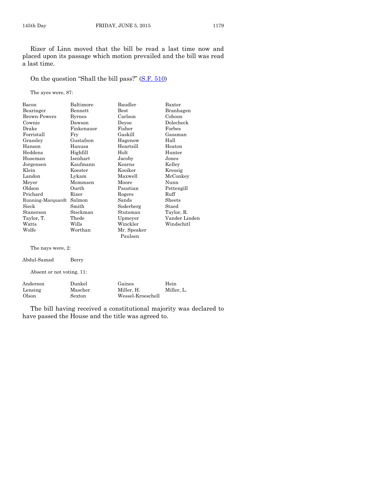Rizer of Linn moved that the bill be read a last time now and placed upon its passage which motion prevailed and the bill was read a last time.

On the question "Shall the bill pass?" ([S.F. 510\)](http://coolice.legis.iowa.gov/Cool-ICE/default.asp?Category=billinfo&Service=Billbook&frame=1&GA=86&hbill=SF510)

The ayes were, 87:

| Bacon                     | Baltimore     | Baudler                  | Baxter        |
|---------------------------|---------------|--------------------------|---------------|
| Bearinger                 | Bennett       | <b>Best</b><br>Branhagen |               |
| <b>Brown-Powers</b>       | <b>Byrnes</b> | Carlson<br>Cohoon        |               |
| Cownie                    | Dawson        | Devoe                    | Dolecheck     |
| Drake                     | Finkenauer    | Fisher<br>Forbes         |               |
| Forristall                | Fry           | Gaskill                  | Gassman       |
| Grassley                  | Gustafson     | Hagenow                  | Hall          |
| Hanson                    | Hanusa        | Heartsill                | Heaton        |
| Heddens                   | Highfill      | Holt                     | Hunter        |
| Huseman                   | Isenhart      | Jacoby                   | Jones         |
| Jorgensen                 | Kaufmann      | Kearns                   | Kelley        |
| Klein                     | Koester       | Kooiker                  | Kressig       |
| Landon                    | Lykam         | Maxwell                  | McConkey      |
| Meyer                     | Mommsen       | Moore                    | Nunn          |
| Oldson                    | Ourth         | Paustian                 | Pettengill    |
| Prichard                  | Rizer         | Rogers                   | Ruff          |
| Running-Marquardt Salmon  |               | Sands                    | Sheets        |
| Sieck                     | Smith         | Soderberg                | Staed         |
| Stanerson                 | Steckman      | Stutsman                 | Taylor, R.    |
| Taylor, T.                | Thede         | Upmeyer                  | Vander Linden |
| Watts                     | Wills         | Winckler                 | Windschitl    |
| Wolfe                     | Worthan       | Mr. Speaker<br>Paulsen   |               |
| The nays were, 2:         |               |                          |               |
| Abdul-Samad               | Berry         |                          |               |
| Absent or not voting, 11: |               |                          |               |
| Anderson                  | Dunkel        | Gaines                   | Hein          |
| Lensing                   | Mascher       | Miller, H.               | Miller, L.    |
| Olson                     | Sexton        | Wessel-Kroeschell        |               |

The bill having received a constitutional majority was declared to have passed the House and the title was agreed to.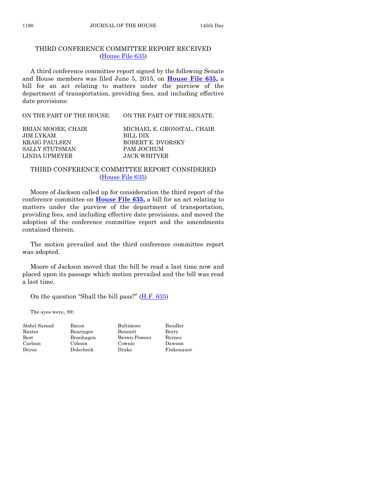#### THIRD CONFERENCE COMMITTEE REPORT RECEIVED [\(House File 635\)](http://coolice.legis.iowa.gov/Cool-ICE/default.asp?Category=billinfo&Service=Billbook&frame=1&GA=86&hbill=HF635)

A third conference committee report signed by the following Senate and House members was filed June 5, 2015, on **[House File 635,](http://coolice.legis.iowa.gov/Cool-ICE/default.asp?Category=billinfo&Service=Billbook&frame=1&GA=86&hbill=HF635)** a bill for an act relating to matters under the purview of the department of transportation, providing fees, and including effective date provisions:

| ON THE PART OF THE HOUSE: | ON THE PART OF THE SENATE: |
|---------------------------|----------------------------|
| BRIAN MOORE, CHAIR        | MICHAEL E. GRONSTAL, CHAIR |
| JIM LYKAM                 | BILL DIX                   |
| <b>KRAIG PAULSEN</b>      | ROBERT E. DVORSKY          |
| SALLY STUTSMAN            | PAM JOCHUM                 |
| LINDA UPMEYER             | JACK WHITVER               |

#### THIRD CONFERENCE COMMITTEE REPORT CONSIDERED [\(House File 635\)](http://coolice.legis.iowa.gov/Cool-ICE/default.asp?Category=billinfo&Service=Billbook&frame=1&GA=86&hbill=HF635)

Moore of Jackson called up for consideration the third report of the conference committee on **[House File 635,](http://coolice.legis.iowa.gov/Cool-ICE/default.asp?Category=billinfo&Service=Billbook&frame=1&GA=86&hbill=HF635)** a bill for an act relating to matters under the purview of the department of transportation, providing fees, and including effective date provisions, and moved the adoption of the conference committee report and the amendments contained therein.

The motion prevailed and the third conference committee report was adopted.

Moore of Jackson moved that the bill be read a last time now and placed upon its passage which motion prevailed and the bill was read a last time.

On the question "Shall the bill pass?"  $(H.F. 635)$  $(H.F. 635)$ 

The ayes were, 89:

| Abdul-San     |
|---------------|
| Baxter        |
| $_{\rm Best}$ |
| Carlson       |
| Deyoe         |

nad Bacon Baltimore Baudler Bearinger Bennett Berry Branhagen Brown-Powers Byrnes Cohoon Cownie Dawson<br>
Dolecheck Drake Finkena Drake Finkenauer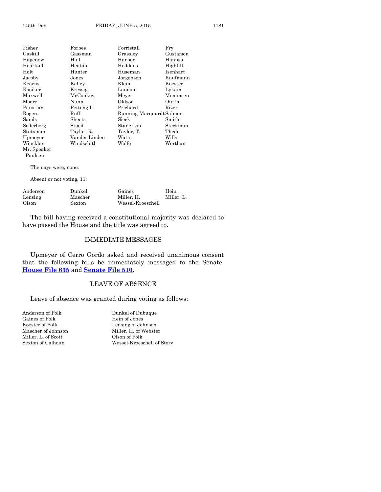| Fisher      | Forbes        | Forristall               | Fry       |
|-------------|---------------|--------------------------|-----------|
| Gaskill     | Gassman       | Grassley                 | Gustafson |
| Hagenow     | Hall          | Hanson                   | Hanusa    |
| Heartsill   | Heaton        | Heddens                  | Highfill  |
| Holt        | Hunter        | Huseman                  | Isenhart  |
| Jacoby      | Jones         | Jorgensen                | Kaufmann  |
| Kearns      | Kelley        | Klein                    | Koester   |
| Kooiker     | Kressig       | Landon                   | Lykam     |
| Maxwell     | McConkey      | Meyer                    | Mommsen   |
| Moore       | Nunn          | Oldson                   | Ourth     |
| Paustian    | Pettengill    | Prichard                 | Rizer     |
| Rogers      | Ruff          | Running-Marquardt Salmon |           |
| Sands       | Sheets        | Sieck                    | Smith     |
| Soderberg   | Staed         | Stanerson                | Steckman  |
| Stutsman    | Taylor, R.    | Taylor, T.               | Thede     |
| Upmeyer     | Vander Linden | Watts                    | Wills     |
| Winckler    | Windschitl    | Wolfe                    | Worthan   |
| Mr. Speaker |               |                          |           |

The nays were, none.

Paulsen

Absent or not voting, 11:

| Anderson | Dunkel  | Gaines            | Hein       |
|----------|---------|-------------------|------------|
| Lensing  | Mascher | Miller. H.        | Miller. L. |
| Olson    | Sexton  | Wessel-Kroeschell |            |

The bill having received a constitutional majority was declared to have passed the House and the title was agreed to.

#### IMMEDIATE MESSAGES

Upmeyer of Cerro Gordo asked and received unanimous consent that the following bills be immediately messaged to the Senate: **[House File 635](http://coolice.legis.iowa.gov/Cool-ICE/default.asp?Category=billinfo&Service=Billbook&frame=1&GA=86&hbill=HF635)** and **[Senate File 510.](http://coolice.legis.iowa.gov/Cool-ICE/default.asp?Category=billinfo&Service=Billbook&frame=1&GA=86&hbill=SF510)**

#### LEAVE OF ABSENCE

Leave of absence was granted during voting as follows:

Gaines of Polk<br>Koester of Polk Miller, L. of Scott Olson of Polk

Anderson of Polk Dunkel of Dubuque<br>Gaines of Polk Hein of Jones Lensing of Johnson Mascher of Johnson Miller, H. of Webster Sexton of Calhoun Wessel-Kroeschell of Story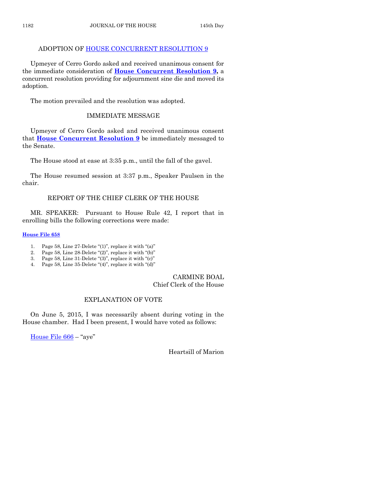# ADOPTION OF [HOUSE CONCURRENT RESOLUTION 9](http://coolice.legis.iowa.gov/Cool-ICE/default.asp?Category=billinfo&Service=Billbook&frame=1&GA=86&hbill=HCR9)

Upmeyer of Cerro Gordo asked and received unanimous consent for the immediate consideration of **[House Concurrent Resolution 9,](http://coolice.legis.iowa.gov/Cool-ICE/default.asp?Category=billinfo&Service=Billbook&frame=1&GA=86&hbill=HCR9)** a concurrent resolution providing for adjournment sine die and moved its adoption.

The motion prevailed and the resolution was adopted.

# IMMEDIATE MESSAGE

Upmeyer of Cerro Gordo asked and received unanimous consent that **[House Concurrent Resolution 9](http://coolice.legis.iowa.gov/Cool-ICE/default.asp?Category=billinfo&Service=Billbook&frame=1&GA=86&hbill=HCR9)** be immediately messaged to the Senate.

The House stood at ease at 3:35 p.m., until the fall of the gavel.

The House resumed session at 3:37 p.m., Speaker Paulsen in the chair.

# REPORT OF THE CHIEF CLERK OF THE HOUSE

MR. SPEAKER: Pursuant to House Rule 42, I report that in enrolling bills the following corrections were made:

# **[House File 658](http://coolice.legis.iowa.gov/Cool-ICE/default.asp?Category=billinfo&Service=Billbook&frame=1&GA=86&hbill=HF658)**

- 1. Page 58, Line 27-Delete "(1)", replace it with "(a)"
- 2. Page 58, Line 28-Delete "(2)", replace it with "(b)"
- 3. Page 58, Line 31-Delete "(3)", replace it with "(c)"
- 4. Page 58, Line 35-Delete "(4)", replace it with "(d)"

## CARMINE BOAL Chief Clerk of the House

# EXPLANATION OF VOTE

On June 5, 2015, I was necessarily absent during voting in the House chamber. Had I been present, I would have voted as follows:

[House File 666](http://coolice.legis.iowa.gov/Cool-ICE/default.asp?Category=billinfo&Service=Billbook&frame=1&GA=86&hbill=HF666) – "aye"

Heartsill of Marion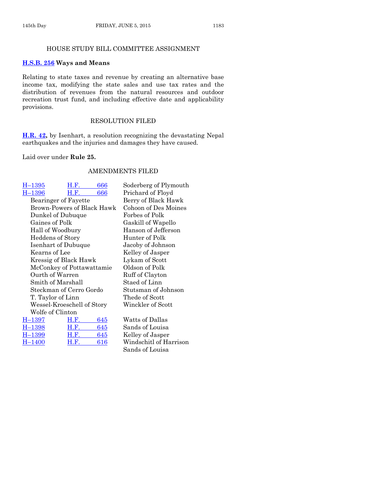#### HOUSE STUDY BILL COMMITTEE ASSIGNMENT

#### **[H.S.B. 256](http://coolice.legis.iowa.gov/Cool-ICE/default.asp?Category=billinfo&Service=Billbook&frame=1&GA=86&hbill=HSB256) Ways and Means**

Relating to state taxes and revenue by creating an alternative base income tax, modifying the state sales and use tax rates and the distribution of revenues from the natural resources and outdoor recreation trust fund, and including effective date and applicability provisions.

# RESOLUTION FILED

**[H.R. 42,](http://coolice.legis.iowa.gov/Cool-ICE/default.asp?Category=billinfo&Service=Billbook&frame=1&GA=86&hbill=HR42)** by Isenhart, a resolution recognizing the devastating Nepal earthquakes and the injuries and damages they have caused.

Laid over under **Rule 25.**

#### AMENDMENTS FILED

| H–1395                  | H.F.                       | 666 | Soderberg of Plymouth  |
|-------------------------|----------------------------|-----|------------------------|
| H–1396                  | H.F.                       | 666 | Prichard of Floyd      |
| Bearinger of Fayette    |                            |     | Berry of Black Hawk    |
|                         | Brown-Powers of Black Hawk |     | Cohoon of Des Moines   |
|                         | Dunkel of Dubuque          |     | Forbes of Polk         |
| Gaines of Polk          |                            |     | Gaskill of Wapello     |
| Hall of Woodbury        |                            |     | Hanson of Jefferson    |
| Heddens of Story        |                            |     | Hunter of Polk         |
|                         | Isenhart of Dubuque        |     | Jacoby of Johnson      |
| Kearns of Lee           |                            |     | Kelley of Jasper       |
|                         | Kressig of Black Hawk      |     | Lykam of Scott         |
|                         | McConkey of Pottawattamie  |     | Oldson of Polk         |
| Ourth of Warren         |                            |     | Ruff of Clayton        |
| Smith of Marshall       |                            |     | Staed of Linn          |
| Steckman of Cerro Gordo |                            |     | Stutsman of Johnson    |
| T. Taylor of Linn       |                            |     | Thede of Scott         |
|                         | Wessel-Kroeschell of Story |     | Winckler of Scott      |
| Wolfe of Clinton        |                            |     |                        |
| H-1397                  | H.F.                       | 645 | Watts of Dallas        |
| H-1398                  | H.F.                       | 645 | Sands of Louisa        |
| H-1399                  | H.F.                       | 645 | Kelley of Jasper       |
| H–1400                  | H.F.                       | 616 | Windschitl of Harrison |
|                         |                            |     | Sands of Louisa        |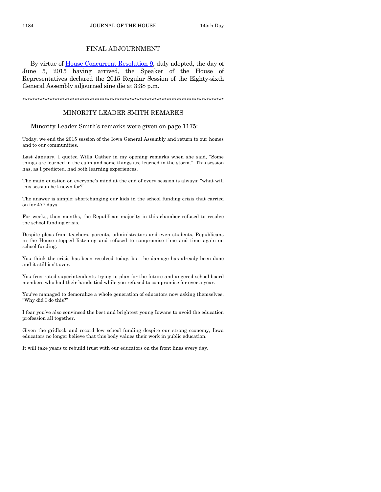#### FINAL ADJOURNMENT

By virtue of [House Concurrent Resolution 9,](http://coolice.legis.iowa.gov/Cool-ICE/default.asp?Category=billinfo&Service=Billbook&frame=1&GA=86&hbill=HCR9) duly adopted, the day of June 5, 2015 having arrived, the Speaker of the House of Representatives declared the 2015 Regular Session of the Eighty-sixth General Assembly adjourned sine die at 3:38 p.m.

\*\*\*\*\*\*\*\*\*\*\*\*\*\*\*\*\*\*\*\*\*\*\*\*\*\*\*\*\*\*\*\*\*\*\*\*\*\*\*\*\*\*\*\*\*\*\*\*\*\*\*\*\*\*\*\*\*\*\*\*\*\*\*\*\*\*\*\*\*\*\*\*\*\*\*\*\*\*\*\*\*

#### MINORITY LEADER SMITH REMARKS

Minority Leader Smith's remarks were given on page 1175:

Today, we end the 2015 session of the Iowa General Assembly and return to our homes and to our communities.

Last January, I quoted Willa Cather in my opening remarks when she said, "Some things are learned in the calm and some things are learned in the storm." This session has, as I predicted, had both learning experiences.

The main question on everyone's mind at the end of every session is always: "what will this session be known for?"

The answer is simple: shortchanging our kids in the school funding crisis that carried on for 477 days.

For weeks, then months, the Republican majority in this chamber refused to resolve the school funding crisis.

Despite pleas from teachers, parents, administrators and even students, Republicans in the House stopped listening and refused to compromise time and time again on school funding.

You think the crisis has been resolved today, but the damage has already been done and it still isn't over.

You frustrated superintendents trying to plan for the future and angered school board members who had their hands tied while you refused to compromise for over a year.

You've managed to demoralize a whole generation of educators now asking themselves, "Why did I do this?"

I fear you've also convinced the best and brightest young Iowans to avoid the education profession all together.

Given the gridlock and record low school funding despite our strong economy, Iowa educators no longer believe that this body values their work in public education.

It will take years to rebuild trust with our educators on the front lines every day.